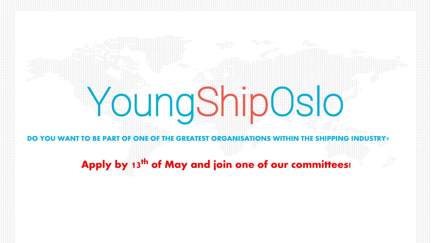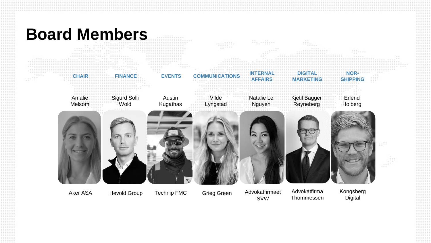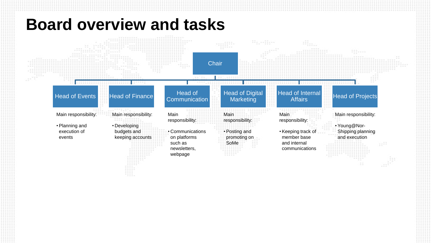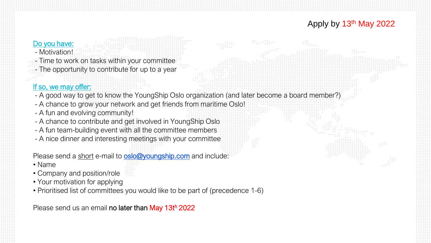## Apply by 13th May 2022

## Do you have:

- Motivation!

- Time to work on tasks within your committee

- The opportunity to contribute for up to a year

## If so, we may offer:

- A good way to get to know the YoungShip Oslo organization (and later become a board member?)

- A chance to grow your network and get friends from maritime Oslo!
- A fun and evolving community!
- A chance to contribute and get involved in YoungShip Oslo
- A fun team-building event with all the committee members
- A nice dinner and interesting meetings with your committee

Please send a short e-mail to **[oslo@youngship.com](mailto:oslo@youngship.com)** and include:

- Name
- Company and position/role
- Your motivation for applying
- Prioritised list of committees you would like to be part of (precedence 1-6)

Please send us an email no later than May 13th 2022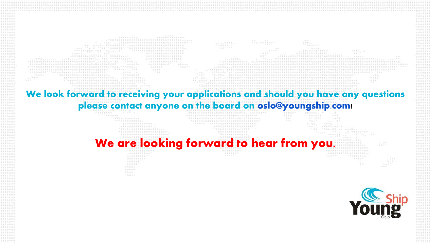